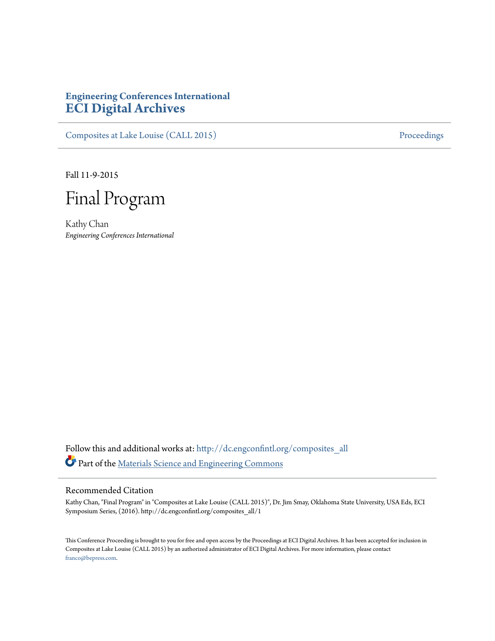# **Engineering Conferences International [ECI Digital Archives](http://dc.engconfintl.org?utm_source=dc.engconfintl.org%2Fcomposites_all%2F1&utm_medium=PDF&utm_campaign=PDFCoverPages)**

[Composites at Lake Louise \(CALL 2015\)](http://dc.engconfintl.org/composites_all?utm_source=dc.engconfintl.org%2Fcomposites_all%2F1&utm_medium=PDF&utm_campaign=PDFCoverPages) [Proceedings](http://dc.engconfintl.org/proceedings?utm_source=dc.engconfintl.org%2Fcomposites_all%2F1&utm_medium=PDF&utm_campaign=PDFCoverPages)

Fall 11-9-2015



Kathy Chan *Engineering Conferences International*

Follow this and additional works at: [http://dc.engconfintl.org/composites\\_all](http://dc.engconfintl.org/composites_all?utm_source=dc.engconfintl.org%2Fcomposites_all%2F1&utm_medium=PDF&utm_campaign=PDFCoverPages) Part of the [Materials Science and Engineering Commons](http://network.bepress.com/hgg/discipline/285?utm_source=dc.engconfintl.org%2Fcomposites_all%2F1&utm_medium=PDF&utm_campaign=PDFCoverPages)

#### Recommended Citation

Kathy Chan, "Final Program" in "Composites at Lake Louise (CALL 2015)", Dr. Jim Smay, Oklahoma State University, USA Eds, ECI Symposium Series, (2016). http://dc.engconfintl.org/composites\_all/1

This Conference Proceeding is brought to you for free and open access by the Proceedings at ECI Digital Archives. It has been accepted for inclusion in Composites at Lake Louise (CALL 2015) by an authorized administrator of ECI Digital Archives. For more information, please contact [franco@bepress.com.](mailto:franco@bepress.com)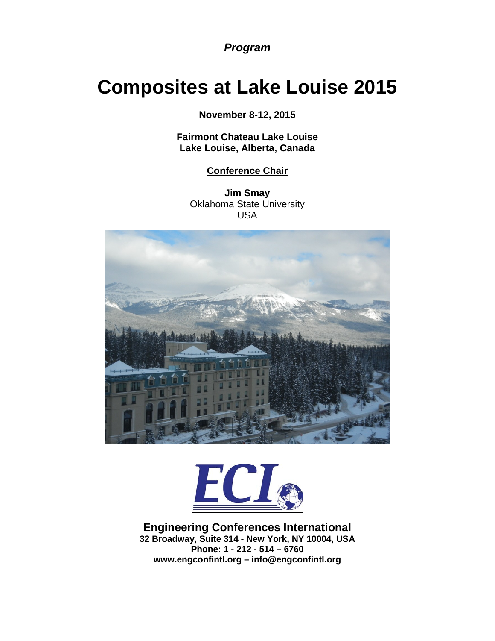*Program*

# **Composites at Lake Louise 2015**

**November 8-12, 2015**

**Fairmont Chateau Lake Louise Lake Louise, Alberta, Canada**

# **Conference Chair**

**Jim Smay** Oklahoma State University USA





#### **Engineering Conferences International 32 Broadway, Suite 314 - New York, NY 10004, USA Phone: 1 - 212 - 514 – 6760 www.engconfintl.org – info@engconfintl.org**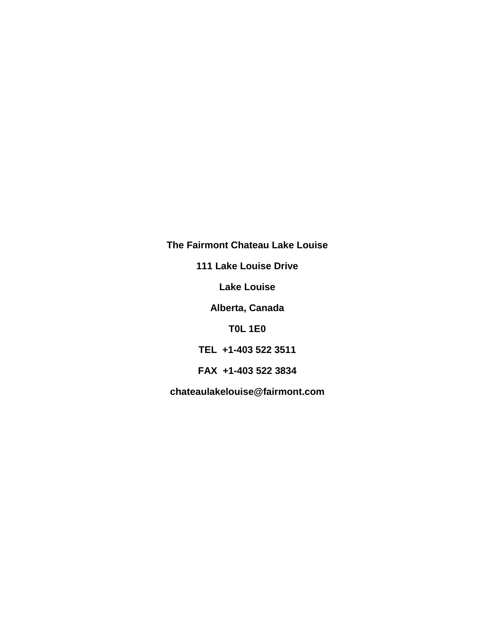**The Fairmont Chateau Lake Louise 111 Lake Louise Drive Lake Louise Alberta, Canada T0L 1E0 TEL +1-403 522 3511 FAX +1-403 522 3834 chateaulakelouise@fairmont.com**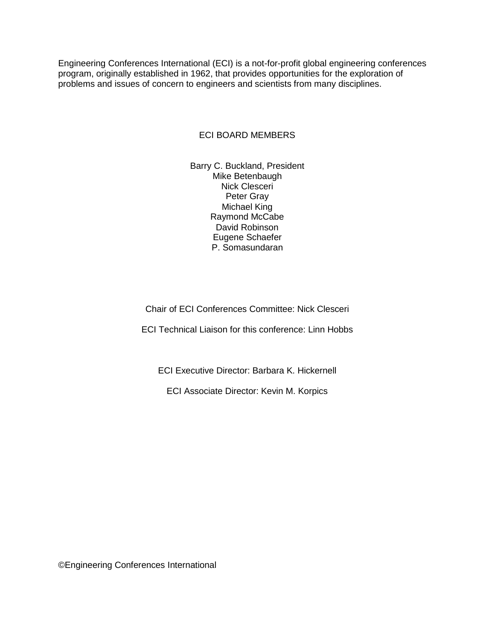Engineering Conferences International (ECI) is a not-for-profit global engineering conferences program, originally established in 1962, that provides opportunities for the exploration of problems and issues of concern to engineers and scientists from many disciplines.

#### ECI BOARD MEMBERS

Barry C. Buckland, President Mike Betenbaugh Nick Clesceri Peter Gray Michael King Raymond McCabe David Robinson Eugene Schaefer P. Somasundaran

Chair of ECI Conferences Committee: Nick Clesceri

ECI Technical Liaison for this conference: Linn Hobbs

ECI Executive Director: Barbara K. Hickernell

ECI Associate Director: Kevin M. Korpics

©Engineering Conferences International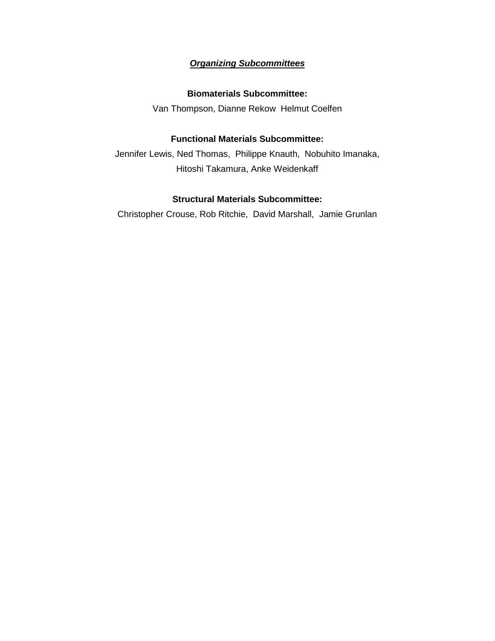# *Organizing Subcommittees*

#### **Biomaterials Subcommittee:**

Van Thompson, Dianne Rekow Helmut Coelfen

## **Functional Materials Subcommittee:**

Jennifer Lewis, Ned Thomas, Philippe Knauth, Nobuhito Imanaka, Hitoshi Takamura, Anke Weidenkaff

#### **Structural Materials Subcommittee:**

Christopher Crouse, Rob Ritchie, David Marshall, Jamie Grunlan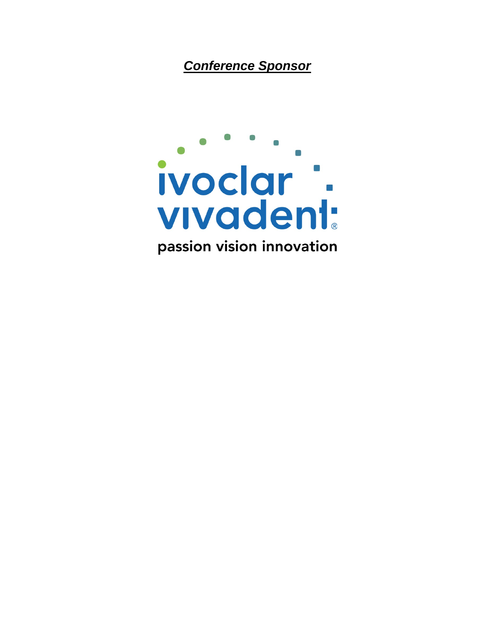*Conference Sponsor*

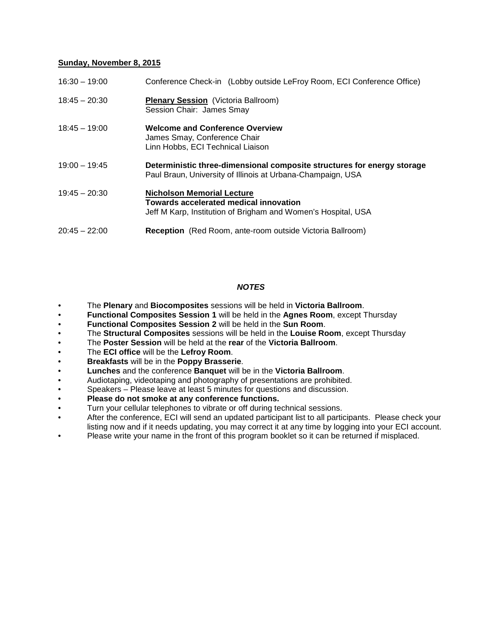#### **Sunday, November 8, 2015**

| $16:30 - 19:00$ | Conference Check-in (Lobby outside LeFroy Room, ECI Conference Office)                                                                              |
|-----------------|-----------------------------------------------------------------------------------------------------------------------------------------------------|
| $18:45 - 20:30$ | <b>Plenary Session</b> (Victoria Ballroom)<br>Session Chair: James Smay                                                                             |
| $18:45 - 19:00$ | <b>Welcome and Conference Overview</b><br>James Smay, Conference Chair<br>Linn Hobbs, ECI Technical Liaison                                         |
| $19:00 - 19:45$ | Deterministic three-dimensional composite structures for energy storage<br>Paul Braun, University of Illinois at Urbana-Champaign, USA              |
| $19:45 - 20:30$ | <b>Nicholson Memorial Lecture</b><br><b>Towards accelerated medical innovation</b><br>Jeff M Karp, Institution of Brigham and Women's Hospital, USA |
| $20:45 - 22:00$ | <b>Reception</b> (Red Room, ante-room outside Victoria Ballroom)                                                                                    |

#### *NOTES*

- The **Plenary** and **Biocomposites** sessions will be held in **Victoria Ballroom**.
- **Functional Composites Session 1** will be held in the **Agnes Room**, except Thursday
- **Functional Composites Session 2** will be held in the **Sun Room**.
- The **Structural Composites** sessions will be held in the **Louise Room**, except Thursday
- The **Poster Session** will be held at the **rear** of the **Victoria Ballroom**.
- The **ECI office** will be the **Lefroy Room**.
- **Breakfasts** will be in the **Poppy Brasserie**.
- **Lunches** and the conference **Banquet** will be in the **Victoria Ballroom**.
- Audiotaping, videotaping and photography of presentations are prohibited.
- Speakers Please leave at least 5 minutes for questions and discussion.
- **Please do not smoke at any conference functions.**
- Turn your cellular telephones to vibrate or off during technical sessions.
- After the conference, ECI will send an updated participant list to all participants. Please check your listing now and if it needs updating, you may correct it at any time by logging into your ECI account.
- Please write your name in the front of this program booklet so it can be returned if misplaced.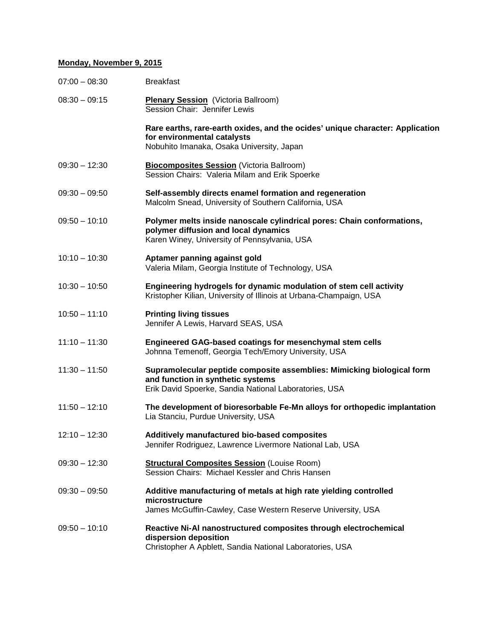#### **Monday, November 9, 2015**

| $07:00 - 08:30$ | <b>Breakfast</b>                                                                                                                                                     |
|-----------------|----------------------------------------------------------------------------------------------------------------------------------------------------------------------|
| $08:30 - 09:15$ | <b>Plenary Session</b> (Victoria Ballroom)<br>Session Chair: Jennifer Lewis                                                                                          |
|                 | Rare earths, rare-earth oxides, and the ocides' unique character: Application<br>for environmental catalysts<br>Nobuhito Imanaka, Osaka University, Japan            |
| $09:30 - 12:30$ | <b>Biocomposites Session</b> (Victoria Ballroom)<br>Session Chairs: Valeria Milam and Erik Spoerke                                                                   |
| $09:30 - 09:50$ | Self-assembly directs enamel formation and regeneration<br>Malcolm Snead, University of Southern California, USA                                                     |
| $09:50 - 10:10$ | Polymer melts inside nanoscale cylindrical pores: Chain conformations,<br>polymer diffusion and local dynamics<br>Karen Winey, University of Pennsylvania, USA       |
| $10:10 - 10:30$ | Aptamer panning against gold<br>Valeria Milam, Georgia Institute of Technology, USA                                                                                  |
| $10:30 - 10:50$ | Engineering hydrogels for dynamic modulation of stem cell activity<br>Kristopher Kilian, University of Illinois at Urbana-Champaign, USA                             |
| $10:50 - 11:10$ | <b>Printing living tissues</b><br>Jennifer A Lewis, Harvard SEAS, USA                                                                                                |
| $11:10 - 11:30$ | Engineered GAG-based coatings for mesenchymal stem cells<br>Johnna Temenoff, Georgia Tech/Emory University, USA                                                      |
| $11:30 - 11:50$ | Supramolecular peptide composite assemblies: Mimicking biological form<br>and function in synthetic systems<br>Erik David Spoerke, Sandia National Laboratories, USA |
| $11:50 - 12:10$ | The development of bioresorbable Fe-Mn alloys for orthopedic implantation<br>Lia Stanciu, Purdue University, USA                                                     |
| $12:10 - 12:30$ | Additively manufactured bio-based composites<br>Jennifer Rodriguez, Lawrence Livermore National Lab, USA                                                             |
| $09:30 - 12:30$ | <b>Structural Composites Session (Louise Room)</b><br>Session Chairs: Michael Kessler and Chris Hansen                                                               |
| $09:30 - 09:50$ | Additive manufacturing of metals at high rate yielding controlled<br>microstructure<br>James McGuffin-Cawley, Case Western Reserve University, USA                   |
| $09:50 - 10:10$ | Reactive Ni-Al nanostructured composites through electrochemical<br>dispersion deposition<br>Christopher A Apblett, Sandia National Laboratories, USA                |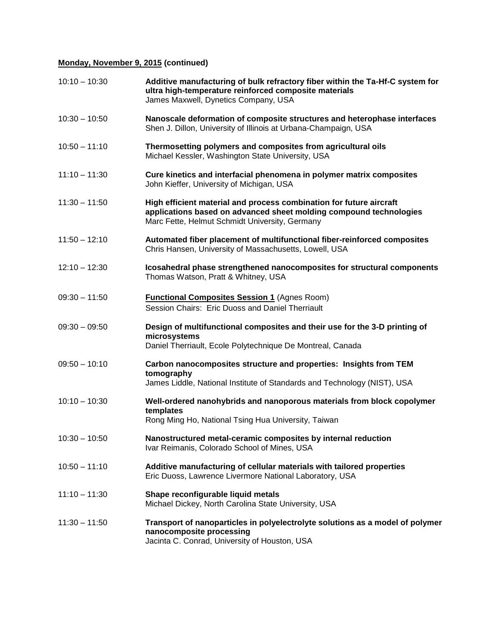## **Monday, November 9, 2015 (continued)**

| $10:10 - 10:30$ | Additive manufacturing of bulk refractory fiber within the Ta-Hf-C system for<br>ultra high-temperature reinforced composite materials<br>James Maxwell, Dynetics Company, USA              |
|-----------------|---------------------------------------------------------------------------------------------------------------------------------------------------------------------------------------------|
| $10:30 - 10:50$ | Nanoscale deformation of composite structures and heterophase interfaces<br>Shen J. Dillon, University of Illinois at Urbana-Champaign, USA                                                 |
| $10:50 - 11:10$ | Thermosetting polymers and composites from agricultural oils<br>Michael Kessler, Washington State University, USA                                                                           |
| $11:10 - 11:30$ | Cure kinetics and interfacial phenomena in polymer matrix composites<br>John Kieffer, University of Michigan, USA                                                                           |
| $11:30 - 11:50$ | High efficient material and process combination for future aircraft<br>applications based on advanced sheet molding compound technologies<br>Marc Fette, Helmut Schmidt University, Germany |
| $11:50 - 12:10$ | Automated fiber placement of multifunctional fiber-reinforced composites<br>Chris Hansen, University of Massachusetts, Lowell, USA                                                          |
| $12:10 - 12:30$ | Icosahedral phase strengthened nanocomposites for structural components<br>Thomas Watson, Pratt & Whitney, USA                                                                              |
| $09:30 - 11:50$ | <b>Functional Composites Session 1 (Agnes Room)</b><br>Session Chairs: Eric Duoss and Daniel Therriault                                                                                     |
| $09:30 - 09:50$ | Design of multifunctional composites and their use for the 3-D printing of<br>microsystems<br>Daniel Therriault, Ecole Polytechnique De Montreal, Canada                                    |
| $09:50 - 10:10$ | Carbon nanocomposites structure and properties: Insights from TEM<br>tomography<br>James Liddle, National Institute of Standards and Technology (NIST), USA                                 |
| $10:10 - 10:30$ | Well-ordered nanohybrids and nanoporous materials from block copolymer<br>templates<br>Rong Ming Ho, National Tsing Hua University, Taiwan                                                  |
| $10:30 - 10:50$ | Nanostructured metal-ceramic composites by internal reduction<br>Ivar Reimanis, Colorado School of Mines, USA                                                                               |
| $10:50 - 11:10$ | Additive manufacturing of cellular materials with tailored properties<br>Eric Duoss, Lawrence Livermore National Laboratory, USA                                                            |
| $11:10 - 11:30$ | Shape reconfigurable liquid metals<br>Michael Dickey, North Carolina State University, USA                                                                                                  |
| $11:30 - 11:50$ | Transport of nanoparticles in polyelectrolyte solutions as a model of polymer<br>nanocomposite processing<br>Jacinta C. Conrad, University of Houston, USA                                  |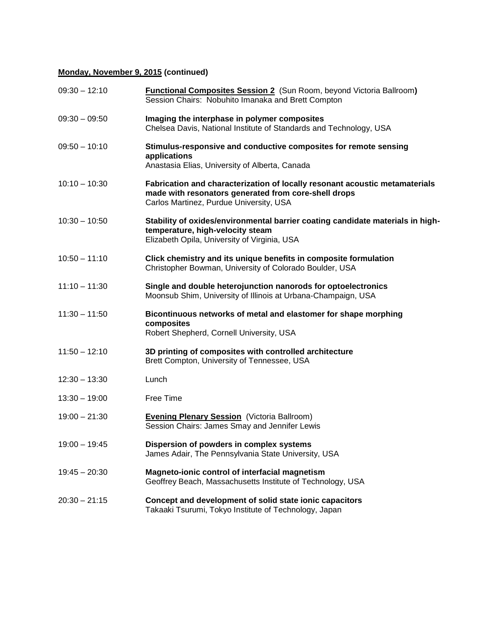# **Monday, November 9, 2015 (continued)**

| $09:30 - 12:10$ | <b>Functional Composites Session 2</b> (Sun Room, beyond Victoria Ballroom)<br>Session Chairs: Nobuhito Imanaka and Brett Compton                                              |
|-----------------|--------------------------------------------------------------------------------------------------------------------------------------------------------------------------------|
| $09:30 - 09:50$ | Imaging the interphase in polymer composites<br>Chelsea Davis, National Institute of Standards and Technology, USA                                                             |
| $09:50 - 10:10$ | Stimulus-responsive and conductive composites for remote sensing<br>applications<br>Anastasia Elias, University of Alberta, Canada                                             |
| $10:10 - 10:30$ | Fabrication and characterization of locally resonant acoustic metamaterials<br>made with resonators generated from core-shell drops<br>Carlos Martinez, Purdue University, USA |
| $10:30 - 10:50$ | Stability of oxides/environmental barrier coating candidate materials in high-<br>temperature, high-velocity steam<br>Elizabeth Opila, University of Virginia, USA             |
| $10:50 - 11:10$ | Click chemistry and its unique benefits in composite formulation<br>Christopher Bowman, University of Colorado Boulder, USA                                                    |
| $11:10 - 11:30$ | Single and double heterojunction nanorods for optoelectronics<br>Moonsub Shim, University of Illinois at Urbana-Champaign, USA                                                 |
| $11:30 - 11:50$ | Bicontinuous networks of metal and elastomer for shape morphing<br>composites<br>Robert Shepherd, Cornell University, USA                                                      |
| $11:50 - 12:10$ | 3D printing of composites with controlled architecture<br>Brett Compton, University of Tennessee, USA                                                                          |
| $12:30 - 13:30$ | Lunch                                                                                                                                                                          |
| $13:30 - 19:00$ | Free Time                                                                                                                                                                      |
| $19:00 - 21:30$ | <b>Evening Plenary Session</b> (Victoria Ballroom)<br>Session Chairs: James Smay and Jennifer Lewis                                                                            |
| $19:00 - 19:45$ | Dispersion of powders in complex systems<br>James Adair, The Pennsylvania State University, USA                                                                                |
| $19:45 - 20:30$ | Magneto-ionic control of interfacial magnetism<br>Geoffrey Beach, Massachusetts Institute of Technology, USA                                                                   |
| $20:30 - 21:15$ | Concept and development of solid state ionic capacitors<br>Takaaki Tsurumi, Tokyo Institute of Technology, Japan                                                               |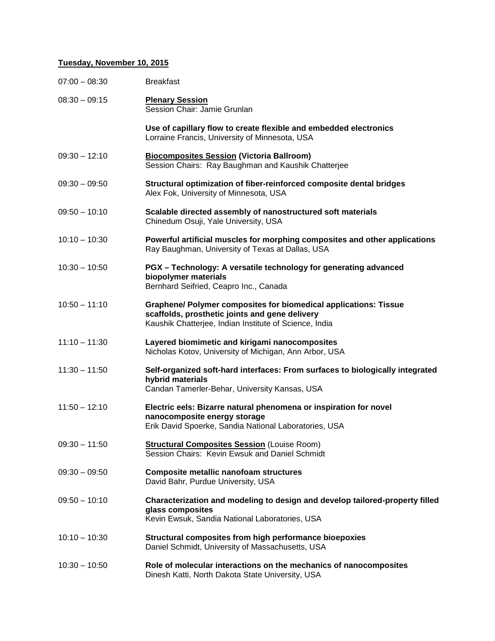#### **Tuesday, November 10, 2015**

| $07:00 - 08:30$ | <b>Breakfast</b>                                                                                                                                                             |
|-----------------|------------------------------------------------------------------------------------------------------------------------------------------------------------------------------|
| $08:30 - 09:15$ | <b>Plenary Session</b><br>Session Chair: Jamie Grunlan                                                                                                                       |
|                 | Use of capillary flow to create flexible and embedded electronics<br>Lorraine Francis, University of Minnesota, USA                                                          |
| $09:30 - 12:10$ | <b>Biocomposites Session (Victoria Ballroom)</b><br>Session Chairs: Ray Baughman and Kaushik Chatterjee                                                                      |
| $09:30 - 09:50$ | Structural optimization of fiber-reinforced composite dental bridges<br>Alex Fok, University of Minnesota, USA                                                               |
| $09:50 - 10:10$ | Scalable directed assembly of nanostructured soft materials<br>Chinedum Osuji, Yale University, USA                                                                          |
| $10:10 - 10:30$ | Powerful artificial muscles for morphing composites and other applications<br>Ray Baughman, University of Texas at Dallas, USA                                               |
| $10:30 - 10:50$ | PGX - Technology: A versatile technology for generating advanced<br>biopolymer materials<br>Bernhard Seifried, Ceapro Inc., Canada                                           |
| $10:50 - 11:10$ | Graphene/ Polymer composites for biomedical applications: Tissue<br>scaffolds, prosthetic joints and gene delivery<br>Kaushik Chatterjee, Indian Institute of Science, India |
| $11:10 - 11:30$ | Layered biomimetic and kirigami nanocomposites<br>Nicholas Kotov, University of Michigan, Ann Arbor, USA                                                                     |
| $11:30 - 11:50$ | Self-organized soft-hard interfaces: From surfaces to biologically integrated<br>hybrid materials<br>Candan Tamerler-Behar, University Kansas, USA                           |
| $11:50 - 12:10$ | Electric eels: Bizarre natural phenomena or inspiration for novel<br>nanocomposite energy storage<br>Erik David Spoerke, Sandia National Laboratories, USA                   |
| $09:30 - 11:50$ | <b>Structural Composites Session (Louise Room)</b><br>Session Chairs: Kevin Ewsuk and Daniel Schmidt                                                                         |
| $09:30 - 09:50$ | <b>Composite metallic nanofoam structures</b><br>David Bahr, Purdue University, USA                                                                                          |
| $09:50 - 10:10$ | Characterization and modeling to design and develop tailored-property filled<br>glass composites<br>Kevin Ewsuk, Sandia National Laboratories, USA                           |
| $10:10 - 10:30$ | Structural composites from high performance bioepoxies<br>Daniel Schmidt, University of Massachusetts, USA                                                                   |
| $10:30 - 10:50$ | Role of molecular interactions on the mechanics of nanocomposites<br>Dinesh Katti, North Dakota State University, USA                                                        |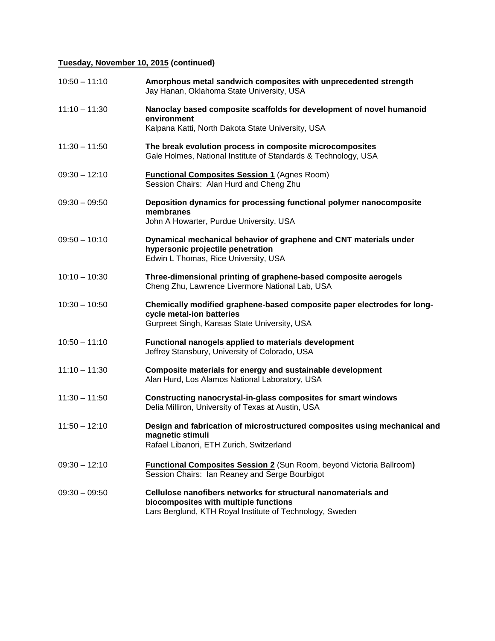# **Tuesday, November 10, 2015 (continued)**

| $10:50 - 11:10$ | Amorphous metal sandwich composites with unprecedented strength<br>Jay Hanan, Oklahoma State University, USA                                                        |
|-----------------|---------------------------------------------------------------------------------------------------------------------------------------------------------------------|
| $11:10 - 11:30$ | Nanoclay based composite scaffolds for development of novel humanoid<br>environment<br>Kalpana Katti, North Dakota State University, USA                            |
| $11:30 - 11:50$ | The break evolution process in composite microcomposites<br>Gale Holmes, National Institute of Standards & Technology, USA                                          |
| $09:30 - 12:10$ | <b>Functional Composites Session 1 (Agnes Room)</b><br>Session Chairs: Alan Hurd and Cheng Zhu                                                                      |
| $09:30 - 09:50$ | Deposition dynamics for processing functional polymer nanocomposite<br>membranes<br>John A Howarter, Purdue University, USA                                         |
| $09:50 - 10:10$ | Dynamical mechanical behavior of graphene and CNT materials under<br>hypersonic projectile penetration<br>Edwin L Thomas, Rice University, USA                      |
| $10:10 - 10:30$ | Three-dimensional printing of graphene-based composite aerogels<br>Cheng Zhu, Lawrence Livermore National Lab, USA                                                  |
| $10:30 - 10:50$ | Chemically modified graphene-based composite paper electrodes for long-<br>cycle metal-ion batteries<br>Gurpreet Singh, Kansas State University, USA                |
| $10:50 - 11:10$ | Functional nanogels applied to materials development<br>Jeffrey Stansbury, University of Colorado, USA                                                              |
| $11:10 - 11:30$ | Composite materials for energy and sustainable development<br>Alan Hurd, Los Alamos National Laboratory, USA                                                        |
| $11:30 - 11:50$ | Constructing nanocrystal-in-glass composites for smart windows<br>Delia Milliron, University of Texas at Austin, USA                                                |
| $11:50 - 12:10$ | Design and fabrication of microstructured composites using mechanical and<br>magnetic stimuli<br>Rafael Libanori, ETH Zurich, Switzerland                           |
| $09:30 - 12:10$ | <b>Functional Composites Session 2</b> (Sun Room, beyond Victoria Ballroom)<br>Session Chairs: Ian Reaney and Serge Bourbigot                                       |
| $09:30 - 09:50$ | Cellulose nanofibers networks for structural nanomaterials and<br>biocomposites with multiple functions<br>Lars Berglund, KTH Royal Institute of Technology, Sweden |
|                 |                                                                                                                                                                     |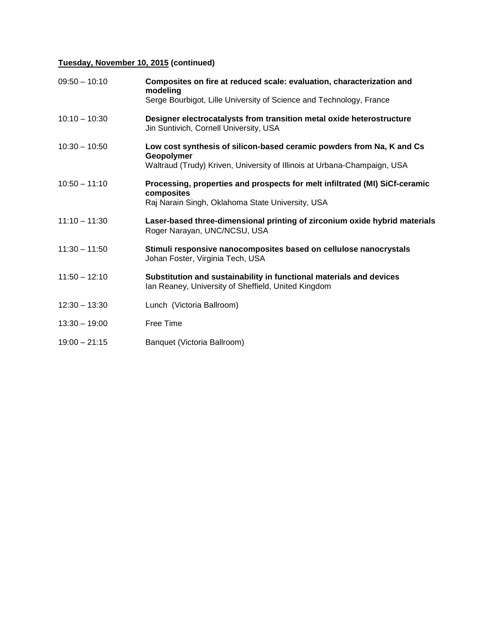# **Tuesday, November 10, 2015 (continued)**

| $09:50 - 10:10$ | Composites on fire at reduced scale: evaluation, characterization and<br>modeling                                          |
|-----------------|----------------------------------------------------------------------------------------------------------------------------|
|                 | Serge Bourbigot, Lille University of Science and Technology, France                                                        |
| $10:10 - 10:30$ | Designer electrocatalysts from transition metal oxide heterostructure<br>Jin Suntivich, Cornell University, USA            |
| $10:30 - 10:50$ | Low cost synthesis of silicon-based ceramic powders from Na, K and Cs<br>Geopolymer                                        |
|                 | Waltraud (Trudy) Kriven, University of Illinois at Urbana-Champaign, USA                                                   |
| $10:50 - 11:10$ | Processing, properties and prospects for melt infiltrated (MI) SiCf-ceramic<br>composites                                  |
|                 | Raj Narain Singh, Oklahoma State University, USA                                                                           |
| $11:10 - 11:30$ | Laser-based three-dimensional printing of zirconium oxide hybrid materials<br>Roger Narayan, UNC/NCSU, USA                 |
| $11:30 - 11:50$ | Stimuli responsive nanocomposites based on cellulose nanocrystals<br>Johan Foster, Virginia Tech, USA                      |
| $11:50 - 12:10$ | Substitution and sustainability in functional materials and devices<br>Ian Reaney, University of Sheffield, United Kingdom |
| $12:30 - 13:30$ | Lunch (Victoria Ballroom)                                                                                                  |
| $13:30 - 19:00$ | Free Time                                                                                                                  |
| $19:00 - 21:15$ | Banquet (Victoria Ballroom)                                                                                                |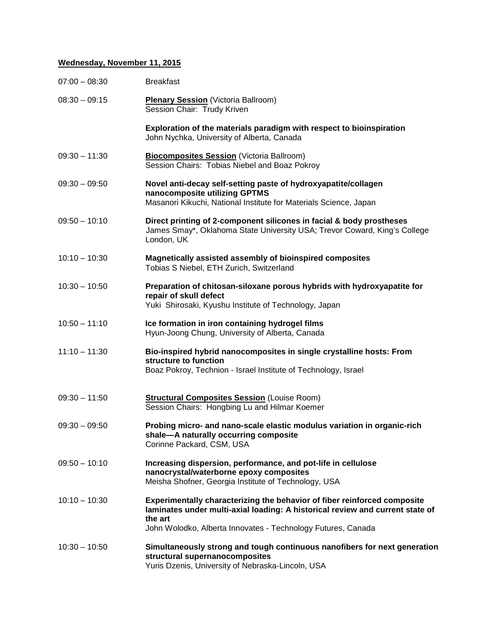#### **Wednesday, November 11, 2015**

| $07:00 - 08:30$ | <b>Breakfast</b>                                                                                                                                                                                                                     |
|-----------------|--------------------------------------------------------------------------------------------------------------------------------------------------------------------------------------------------------------------------------------|
| $08:30 - 09:15$ | <b>Plenary Session</b> (Victoria Ballroom)<br>Session Chair: Trudy Kriven                                                                                                                                                            |
|                 | Exploration of the materials paradigm with respect to bioinspiration<br>John Nychka, University of Alberta, Canada                                                                                                                   |
| $09:30 - 11:30$ | <b>Biocomposites Session (Victoria Ballroom)</b><br>Session Chairs: Tobias Niebel and Boaz Pokroy                                                                                                                                    |
| $09:30 - 09:50$ | Novel anti-decay self-setting paste of hydroxyapatite/collagen<br>nanocomposite utilizing GPTMS<br>Masanori Kikuchi, National Institute for Materials Science, Japan                                                                 |
| $09:50 - 10:10$ | Direct printing of 2-component silicones in facial & body prostheses<br>James Smay*, Oklahoma State University USA; Trevor Coward, King's College<br>London, UK                                                                      |
| $10:10 - 10:30$ | Magnetically assisted assembly of bioinspired composites<br>Tobias S Niebel, ETH Zurich, Switzerland                                                                                                                                 |
| $10:30 - 10:50$ | Preparation of chitosan-siloxane porous hybrids with hydroxyapatite for<br>repair of skull defect<br>Yuki Shirosaki, Kyushu Institute of Technology, Japan                                                                           |
| $10:50 - 11:10$ | Ice formation in iron containing hydrogel films<br>Hyun-Joong Chung, University of Alberta, Canada                                                                                                                                   |
| $11:10 - 11:30$ | Bio-inspired hybrid nanocomposites in single crystalline hosts: From<br>structure to function<br>Boaz Pokroy, Technion - Israel Institute of Technology, Israel                                                                      |
| $09:30 - 11:50$ | <b>Structural Composites Session (Louise Room)</b><br>Session Chairs: Hongbing Lu and Hilmar Koemer                                                                                                                                  |
| $09:30 - 09:50$ | Probing micro- and nano-scale elastic modulus variation in organic-rich<br>shale-A naturally occurring composite<br>Corinne Packard, CSM, USA                                                                                        |
| $09:50 - 10:10$ | Increasing dispersion, performance, and pot-life in cellulose<br>nanocrystal/waterborne epoxy composites<br>Meisha Shofner, Georgia Institute of Technology, USA                                                                     |
| $10:10 - 10:30$ | Experimentally characterizing the behavior of fiber reinforced composite<br>laminates under multi-axial loading: A historical review and current state of<br>the art<br>John Wolodko, Alberta Innovates - Technology Futures, Canada |
| $10:30 - 10:50$ | Simultaneously strong and tough continuous nanofibers for next generation<br>structural supernanocomposites<br>Yuris Dzenis, University of Nebraska-Lincoln, USA                                                                     |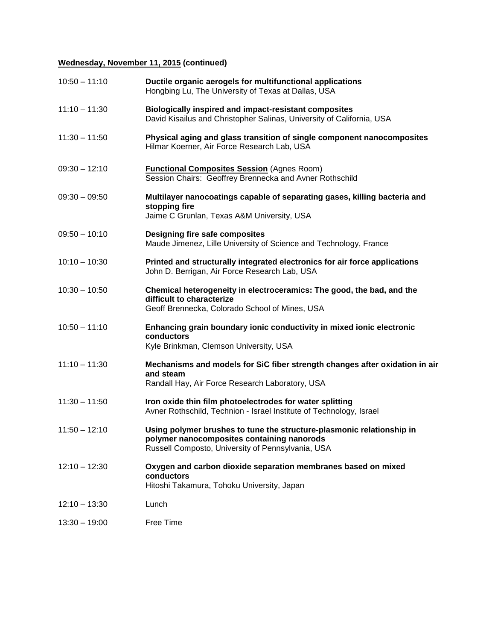# **Wednesday, November 11, 2015 (continued)**

| $10:50 - 11:10$ | Ductile organic aerogels for multifunctional applications<br>Hongbing Lu, The University of Texas at Dallas, USA                                                         |
|-----------------|--------------------------------------------------------------------------------------------------------------------------------------------------------------------------|
| $11:10 - 11:30$ | <b>Biologically inspired and impact-resistant composites</b><br>David Kisailus and Christopher Salinas, University of California, USA                                    |
| $11:30 - 11:50$ | Physical aging and glass transition of single component nanocomposites<br>Hilmar Koerner, Air Force Research Lab, USA                                                    |
| $09:30 - 12:10$ | <b>Functional Composites Session (Agnes Room)</b><br>Session Chairs: Geoffrey Brennecka and Avner Rothschild                                                             |
| $09:30 - 09:50$ | Multilayer nanocoatings capable of separating gases, killing bacteria and<br>stopping fire<br>Jaime C Grunlan, Texas A&M University, USA                                 |
| $09:50 - 10:10$ | Designing fire safe composites<br>Maude Jimenez, Lille University of Science and Technology, France                                                                      |
| $10:10 - 10:30$ | Printed and structurally integrated electronics for air force applications<br>John D. Berrigan, Air Force Research Lab, USA                                              |
| $10:30 - 10:50$ | Chemical heterogeneity in electroceramics: The good, the bad, and the<br>difficult to characterize<br>Geoff Brennecka, Colorado School of Mines, USA                     |
| $10:50 - 11:10$ | Enhancing grain boundary ionic conductivity in mixed ionic electronic<br>conductors<br>Kyle Brinkman, Clemson University, USA                                            |
| $11:10 - 11:30$ | Mechanisms and models for SiC fiber strength changes after oxidation in air<br>and steam<br>Randall Hay, Air Force Research Laboratory, USA                              |
| $11:30 - 11:50$ | Iron oxide thin film photoelectrodes for water splitting<br>Avner Rothschild, Technion - Israel Institute of Technology, Israel                                          |
| $11:50 - 12:10$ | Using polymer brushes to tune the structure-plasmonic relationship in<br>polymer nanocomposites containing nanorods<br>Russell Composto, University of Pennsylvania, USA |
| $12:10 - 12:30$ | Oxygen and carbon dioxide separation membranes based on mixed<br>conductors<br>Hitoshi Takamura, Tohoku University, Japan                                                |
| $12:10 - 13:30$ | Lunch                                                                                                                                                                    |
| $13:30 - 19:00$ | Free Time                                                                                                                                                                |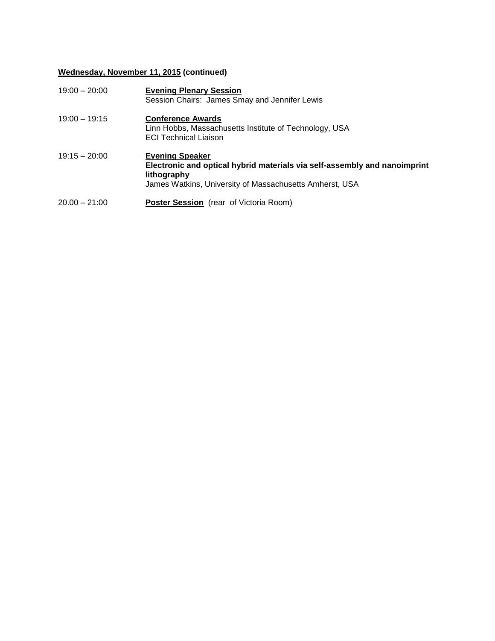# **Wednesday, November 11, 2015 (continued)**

| $19:00 - 20:00$ | <b>Evening Plenary Session</b><br>Session Chairs: James Smay and Jennifer Lewis                                                                                               |
|-----------------|-------------------------------------------------------------------------------------------------------------------------------------------------------------------------------|
| $19:00 - 19:15$ | <b>Conference Awards</b><br>Linn Hobbs, Massachusetts Institute of Technology, USA<br><b>ECI Technical Liaison</b>                                                            |
| $19:15 - 20:00$ | <b>Evening Speaker</b><br>Electronic and optical hybrid materials via self-assembly and nanoimprint<br>lithography<br>James Watkins, University of Massachusetts Amherst, USA |
| $20.00 - 21:00$ | <b>Poster Session</b> (rear of Victoria Room)                                                                                                                                 |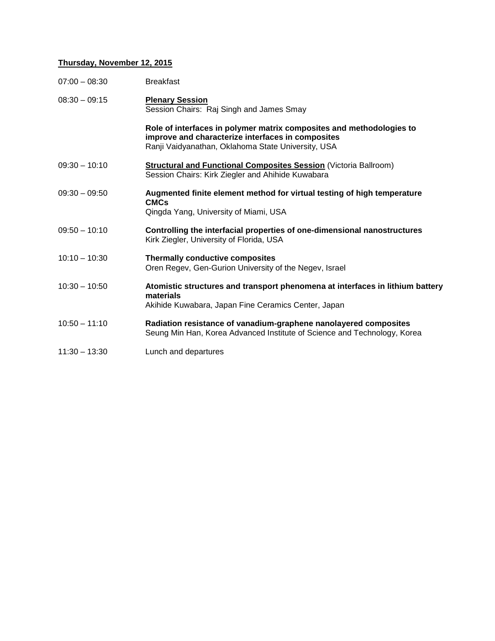### **Thursday, November 12, 2015**

| $07:00 - 08:30$ | <b>Breakfast</b>                                                                                                                                                                |
|-----------------|---------------------------------------------------------------------------------------------------------------------------------------------------------------------------------|
| $08:30 - 09:15$ | <b>Plenary Session</b><br>Session Chairs: Raj Singh and James Smay                                                                                                              |
|                 | Role of interfaces in polymer matrix composites and methodologies to<br>improve and characterize interfaces in composites<br>Ranji Vaidyanathan, Oklahoma State University, USA |
| $09:30 - 10:10$ | <b>Structural and Functional Composites Session (Victoria Ballroom)</b><br>Session Chairs: Kirk Ziegler and Ahihide Kuwabara                                                    |
| $09:30 - 09:50$ | Augmented finite element method for virtual testing of high temperature<br><b>CMCs</b><br>Qingda Yang, University of Miami, USA                                                 |
| $09:50 - 10:10$ | Controlling the interfacial properties of one-dimensional nanostructures<br>Kirk Ziegler, University of Florida, USA                                                            |
| $10:10 - 10:30$ | Thermally conductive composites<br>Oren Regev, Gen-Gurion University of the Negev, Israel                                                                                       |
| $10:30 - 10:50$ | Atomistic structures and transport phenomena at interfaces in lithium battery<br>materials<br>Akihide Kuwabara, Japan Fine Ceramics Center, Japan                               |
| $10:50 - 11:10$ | Radiation resistance of vanadium-graphene nanolayered composites<br>Seung Min Han, Korea Advanced Institute of Science and Technology, Korea                                    |
| $11:30 - 13:30$ | Lunch and departures                                                                                                                                                            |